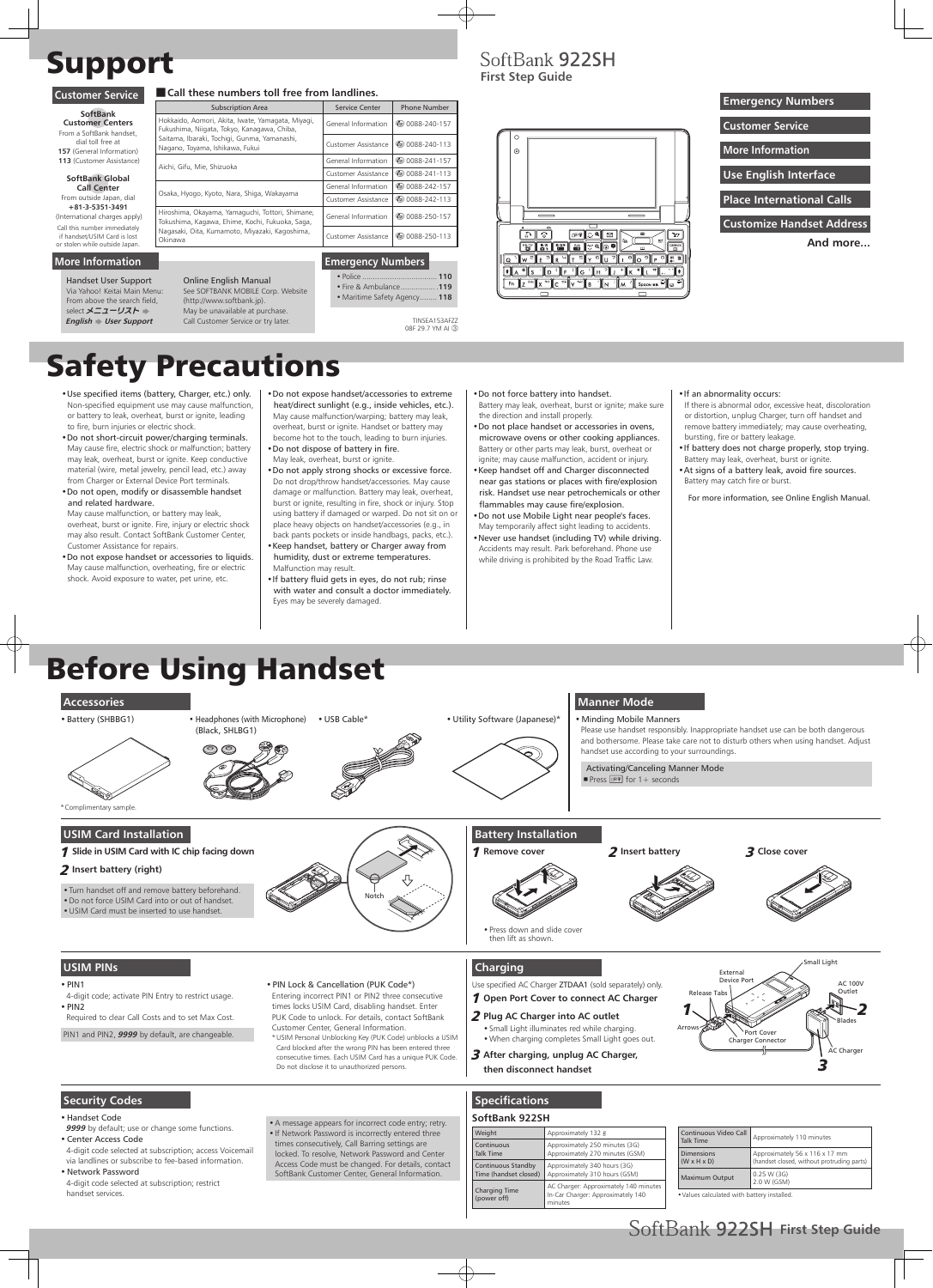# Support

# Safety Precautions

# Before Using Handset

- •Use specified items (battery, Charger, etc.) only. Non-specified equipment use may cause malfunction, or battery to leak, overheat, burst or ignite, leading to fire, burn injuries or electric shock.
- •Do not short-circuit power/charging terminals. May cause fire, electric shock or malfunction; battery may leak, overheat, burst or ignite. Keep conductive material (wire, metal jewelry, pencil lead, etc.) away from Charger or External Device Port terminals.
- •Do not open, modify or disassemble handset and related hardware.

May cause malfunction, or battery may leak, overheat, burst or ignite. Fire, injury or electric shock may also result. Contact SoftBank Customer Center, Customer Assistance for repairs.

- •Do not expose handset or accessories to liquids. May cause malfunction, overheating, fire or electric shock. Avoid exposure to water, pet urine, etc.
- •Do not expose handset/accessories to extreme heat/direct sunlight (e.g., inside vehicles, etc.). May cause malfunction/warping; battery may leak, overheat, burst or ignite. Handset or battery may become hot to the touch, leading to burn injuries.
- •Do not dispose of battery in fire. May leak, overheat, burst or ignite.
- •Do not apply strong shocks or excessive force. Do not drop/throw handset/accessories. May cause damage or malfunction. Battery may leak, overheat, burst or ignite, resulting in fire, shock or injury. Stop using battery if damaged or warped. Do not sit on or place heavy objects on handset/accessories (e.g., in back pants pockets or inside handbags, packs, etc.).
- •Keep handset, battery or Charger away from humidity, dust or extreme temperatures. Malfunction may result.
- •If battery fluid gets in eyes, do not rub; rinse with water and consult a doctor immediately. Eyes may be severely damaged.

4-digit code; activate PIN Entry to restrict usage.  $\cdot$  PIN2

- •Do not force battery into handset.
- Battery may leak, overheat, burst or ignite; make sure the direction and install properly.
- •Do not place handset or accessories in ovens, microwave ovens or other cooking appliances. Battery or other parts may leak, burst, overheat or ignite; may cause malfunction, accident or injury.
- •Keep handset off and Charger disconnected near gas stations or places with fire/explosion risk. Handset use near petrochemicals or other flammables may cause fire/explosion.
- •Do not use Mobile Light near people's faces. May temporarily affect sight leading to accidents.
- •Never use handset (including TV) while driving. Accidents may result. Park beforehand. Phone use while driving is prohibited by the Road Traffic Law.

#### •If an abnormality occurs:

- If there is abnormal odor, excessive heat, discoloration or distortion, unplug Charger, turn off handset and remove battery immediately; may cause overheating, bursting, fire or battery leakage.
- •If battery does not charge properly, stop trying. Battery may leak, overheat, burst or ignite.
- •At signs of a battery leak, avoid fire sources. Battery may catch fire or burst.
	- For more information, see Online English Manual.

#### ■ Call these numbers toll free from landlines. **Customer Service**

#### **USIM PINs**

#### $\cdot$  PIN1

Required to clear Call Costs and to set Max Cost.

PIN1 and PIN2, **9999** by default, are changeable.

Handset User Support Via Yahoo! Keitai Main Menu: From above the search field, select メニューリスト **English**  $\blacktriangleright$  User Support

> •PIN Lock & Cancellation (PUK Code\*) Entering incorrect PIN1 or PIN2 three consecutive times locks USIM Card, disabling handset. Enter PUK Code to unlock. For details, contact SoftBank Customer Center, General Information. \* USIM Personal Unblocking Key (PUK Code) unblocks a USIM Card blocked after the wrong PIN has been entered three consecutive times. Each USIM Card has a unique PUK Code. Do not disclose it to unauthorized persons.

#### **Security Codes**

#### •Handset Code

9999 by default; use or change some functions.

•Center Access Code

4-digit code selected at subscription; access Voicemail via landlines or subscribe to fee-based information.

• Network Password

4-digit code selected at subscription; restrict handset services.

•A message appears for incorrect code entry; retry. •If Network Password is incorrectly entered three times consecutively, Call Barring settings are locked. To resolve, Network Password and Center Access Code must be changed. For details, contact SoftBank Customer Center, General Information.

#### **Charging**

Use specified AC Charger ZTDAA1 (sold separately) only. 1 **Open Port Cover to connect AC Charger**

2 **Plug AC Charger into AC outlet**

•Small Light illuminates red while charging. •When charging completes Small Light goes out.

3 **After charging, unplug AC Charger,** 







#### **Specifications**

#### **SoftBank 922SH**

| Weight                              | Approximately 132 g                                                                   |
|-------------------------------------|---------------------------------------------------------------------------------------|
| Continuous                          | Approximately 250 minutes (3G)                                                        |
| Talk Time                           | Approximately 270 minutes (GSM)                                                       |
| Continuous Standby                  | Approximately 340 hours (3G)                                                          |
| Time (handset closed)               | Approximately 310 hours (GSM)                                                         |
| <b>Charging Time</b><br>(power off) | AC Charger: Approximately 140 minutes<br>In-Car Charger: Approximately 140<br>minutes |

| Continuous Video Call<br><b>Talk Time</b>    | Approximately 110 minutes                                                    |  |
|----------------------------------------------|------------------------------------------------------------------------------|--|
| <b>Dimensions</b><br>$(W \times H \times D)$ | Approximately 56 x 116 x 17 mm<br>(handset closed, without protruding parts) |  |
| <b>Maximum Output</b>                        | 0.25 W(3G)<br>2.0 W (GSM)                                                    |  |

•Values calculated with battery installed.

| General Information        | @ 0088-240-157                     |
|----------------------------|------------------------------------|
| Customer Assistance        | <b><i><u></u></i></b> 0088-240-113 |
| General Information        | <b>◎ 0088-241-157</b>              |
| Customer Assistance        | <b>©</b> 0088-241-113              |
| General Information        | <b><i><u></u></i></b> 0088-242-157 |
| Customer Assistance        | <b><i><u></u></i></b> 0088-242-113 |
| General Information        | 40088-250-157                      |
| <b>Customer Assistance</b> | <b><i><u></u></i></b> 0088-250-113 |
|                            |                                    |

Subscription Area Service Center Phone Number

**SoftBank Customer Centers** From a SoftBank handset, dial toll free at **157** (General Information) **113** (Customer Assistance) **SoftBank Global** 

**Call Center** From outside Japan, dial **+81-3-5351-3491** (International charges apply) Call this number immediately if handset/USIM Card is lost

#### **Emergency Numbers**

• ................................... Police **110** • Fire & Ambulance ................ .**119** • Maritime Safety Agency ........ **118** **First Step Guide**

 $\odot$ 

SoftBank 922SH



#### or stolen while outside Japan. **More Information**

# **Use English Interface Emergency Numbers Place International Calls Customer Service Customize Handset Address More Information And more...**

TINSEA153AFZZ 08F 29.7 YM AI ③

## Online English Manual

See SOFTBANK MOBILE Corp. Website

(http://www.softbank.jp). May be unavailable at purchase. Call Customer Service or try later.